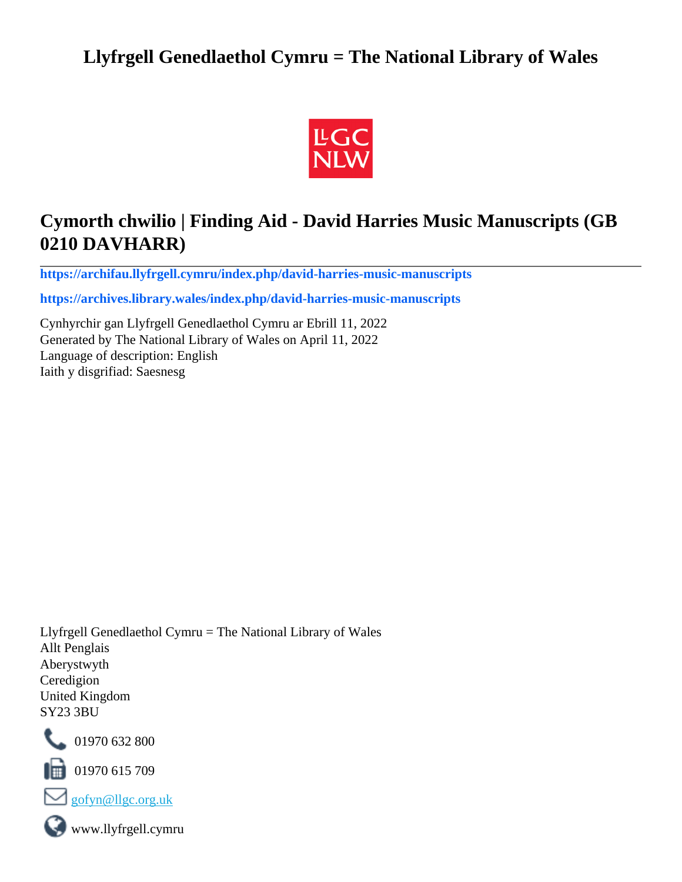# **Llyfrgell Genedlaethol Cymru = The National Library of Wales**



# **Cymorth chwilio | Finding Aid - David Harries Music Manuscripts (GB 0210 DAVHARR)**

**[https://archifau.llyfrgell.cymru/index.php/david-harries-music-manuscripts](https://archifau.llyfrgell.cymru/index.php/david-harries-music-manuscripts;isad?sf_culture=cy)**

**[https://archives.library.wales/index.php/david-harries-music-manuscripts](https://archives.library.wales/index.php/david-harries-music-manuscripts;isad?sf_culture=en)**

Cynhyrchir gan Llyfrgell Genedlaethol Cymru ar Ebrill 11, 2022 Generated by The National Library of Wales on April 11, 2022 Language of description: English Iaith y disgrifiad: Saesnesg

Llyfrgell Genedlaethol Cymru = The National Library of Wales Allt Penglais Aberystwyth Ceredigion United Kingdom SY23 3BU



101970 632 800

 $\blacksquare$  01970 615 709



www.llyfrgell.cymru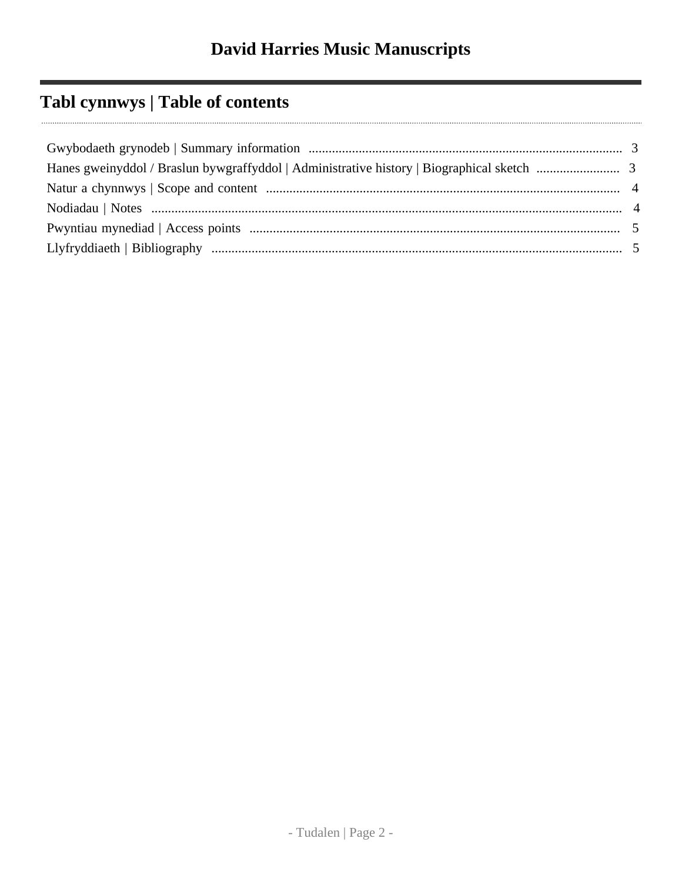# **Tabl cynnwys | Table of contents**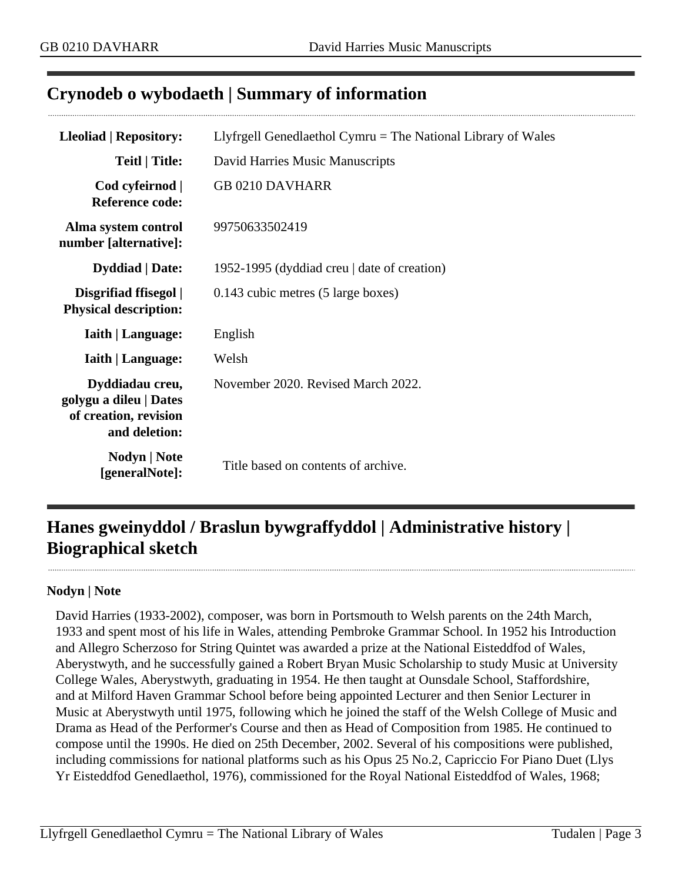## <span id="page-2-0"></span>**Crynodeb o wybodaeth | Summary of information**

| Lleoliad   Repository:                                                              | Llyfrgell Genedlaethol Cymru = The National Library of Wales |
|-------------------------------------------------------------------------------------|--------------------------------------------------------------|
| <b>Teitl   Title:</b>                                                               | David Harries Music Manuscripts                              |
| Cod cyfeirnod  <br><b>Reference code:</b>                                           | <b>GB 0210 DAVHARR</b>                                       |
| Alma system control<br>number [alternative]:                                        | 99750633502419                                               |
| <b>Dyddiad</b>   Date:                                                              | 1952-1995 (dyddiad creu   date of creation)                  |
| Disgrifiad ffisegol  <br><b>Physical description:</b>                               | 0.143 cubic metres (5 large boxes)                           |
| <b>Iaith   Language:</b>                                                            | English                                                      |
| <b>Iaith   Language:</b>                                                            | Welsh                                                        |
| Dyddiadau creu,<br>golygu a dileu   Dates<br>of creation, revision<br>and deletion: | November 2020. Revised March 2022.                           |
| Nodyn   Note<br>[generalNote]:                                                      | Title based on contents of archive.                          |

## <span id="page-2-1"></span>**Hanes gweinyddol / Braslun bywgraffyddol | Administrative history | Biographical sketch**

#### **Nodyn | Note**

David Harries (1933-2002), composer, was born in Portsmouth to Welsh parents on the 24th March, 1933 and spent most of his life in Wales, attending Pembroke Grammar School. In 1952 his Introduction and Allegro Scherzoso for String Quintet was awarded a prize at the National Eisteddfod of Wales, Aberystwyth, and he successfully gained a Robert Bryan Music Scholarship to study Music at University College Wales, Aberystwyth, graduating in 1954. He then taught at Ounsdale School, Staffordshire, and at Milford Haven Grammar School before being appointed Lecturer and then Senior Lecturer in Music at Aberystwyth until 1975, following which he joined the staff of the Welsh College of Music and Drama as Head of the Performer's Course and then as Head of Composition from 1985. He continued to compose until the 1990s. He died on 25th December, 2002. Several of his compositions were published, including commissions for national platforms such as his Opus 25 No.2, Capriccio For Piano Duet (Llys Yr Eisteddfod Genedlaethol, 1976), commissioned for the Royal National Eisteddfod of Wales, 1968;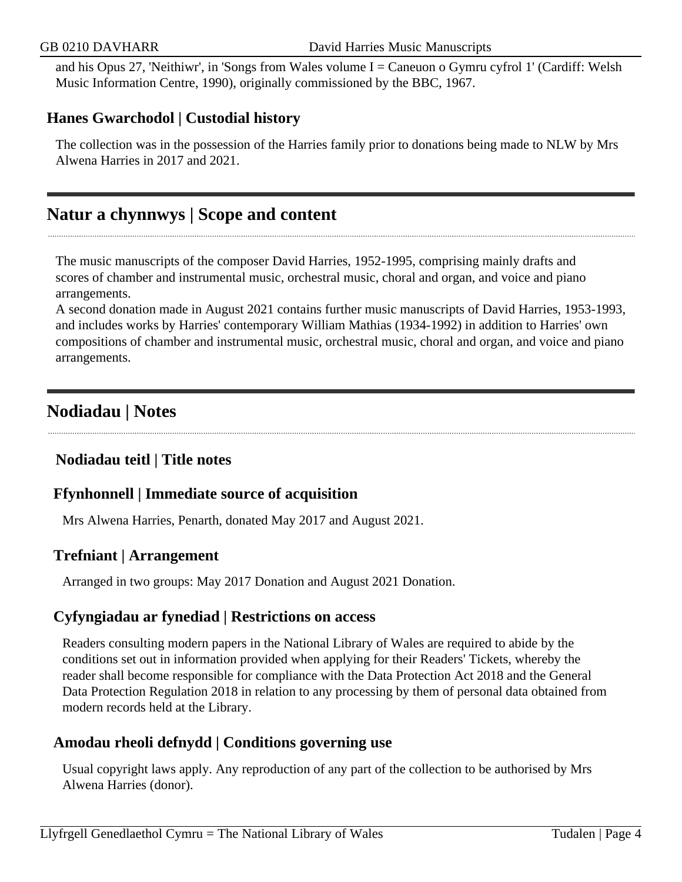and his Opus 27, 'Neithiwr', in 'Songs from Wales volume I = Caneuon o Gymru cyfrol 1' (Cardiff: Welsh Music Information Centre, 1990), originally commissioned by the BBC, 1967.

#### **Hanes Gwarchodol | Custodial history**

The collection was in the possession of the Harries family prior to donations being made to NLW by Mrs Alwena Harries in 2017 and 2021.

### <span id="page-3-0"></span>**Natur a chynnwys | Scope and content**

The music manuscripts of the composer David Harries, 1952-1995, comprising mainly drafts and scores of chamber and instrumental music, orchestral music, choral and organ, and voice and piano arrangements.

A second donation made in August 2021 contains further music manuscripts of David Harries, 1953-1993, and includes works by Harries' contemporary William Mathias (1934-1992) in addition to Harries' own compositions of chamber and instrumental music, orchestral music, choral and organ, and voice and piano arrangements.

## <span id="page-3-1"></span>**Nodiadau | Notes**

#### **Nodiadau teitl | Title notes**

#### **Ffynhonnell | Immediate source of acquisition**

Mrs Alwena Harries, Penarth, donated May 2017 and August 2021.

#### **Trefniant | Arrangement**

Arranged in two groups: May 2017 Donation and August 2021 Donation.

#### **Cyfyngiadau ar fynediad | Restrictions on access**

Readers consulting modern papers in the National Library of Wales are required to abide by the conditions set out in information provided when applying for their Readers' Tickets, whereby the reader shall become responsible for compliance with the Data Protection Act 2018 and the General Data Protection Regulation 2018 in relation to any processing by them of personal data obtained from modern records held at the Library.

#### **Amodau rheoli defnydd | Conditions governing use**

Usual copyright laws apply. Any reproduction of any part of the collection to be authorised by Mrs Alwena Harries (donor).